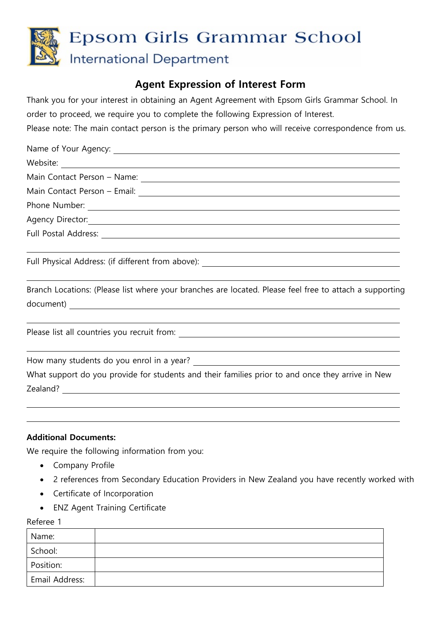

## **Agent Expression of Interest Form**

Thank you for your interest in obtaining an Agent Agreement with Epsom Girls Grammar School. In order to proceed, we require you to complete the following Expression of Interest.

Please note: The main contact person is the primary person who will receive correspondence from us.

| Agency Director: <u>Contractor Communication</u>                                 |
|----------------------------------------------------------------------------------|
|                                                                                  |
|                                                                                  |
| Full Physical Address: (if different from above): ______________________________ |

Branch Locations: (Please list where your branches are located. Please feel free to attach a supporting document)

Please list all countries you recruit from:

How many students do you enrol in a year?

What support do you provide for students and their families prior to and once they arrive in New Zealand? **Example 20** Section 20 April 20 Section 20 April 20 April 20 April 20 April 20 April 20 April 20 April 20 April 20 April 20 April 20 April 20 April 20 April 20 April 20 April 20 April 20 April 20 April 20 April 2

## **Additional Documents:**

We require the following information from you:

- Company Profile
- 2 references from Secondary Education Providers in New Zealand you have recently worked with
- Certificate of Incorporation
- ENZ Agent Training Certificate

Referee 1

| Name:          |  |
|----------------|--|
| School:        |  |
| Position:      |  |
| Email Address: |  |